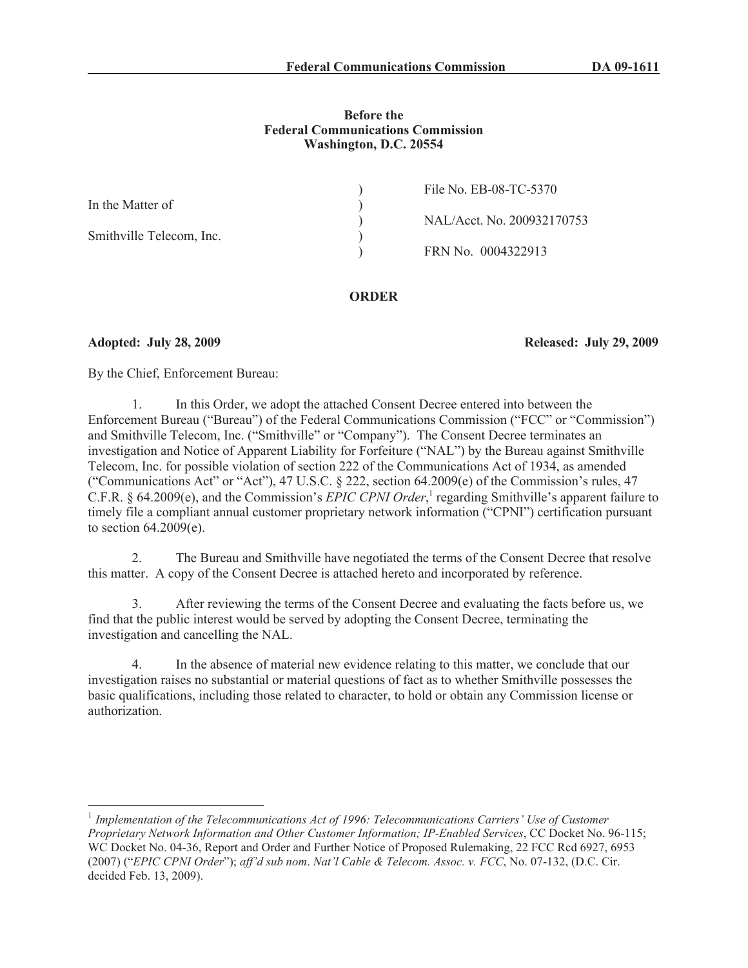# **Before the Federal Communications Commission Washington, D.C. 20554**

|                          | File No. EB-08-TC-5370     |
|--------------------------|----------------------------|
| In the Matter of         |                            |
|                          | NAL/Acct. No. 200932170753 |
| Smithville Telecom, Inc. |                            |
|                          | FRN No. 0004322913         |
|                          |                            |

#### **ORDER**

**Adopted: July 28, 2009 Released: July 29, 2009**

By the Chief, Enforcement Bureau:

1. In this Order, we adopt the attached Consent Decree entered into between the Enforcement Bureau ("Bureau") of the Federal Communications Commission ("FCC" or "Commission") and Smithville Telecom, Inc. ("Smithville" or "Company"). The Consent Decree terminates an investigation and Notice of Apparent Liability for Forfeiture ("NAL") by the Bureau against Smithville Telecom, Inc. for possible violation of section 222 of the Communications Act of 1934, as amended ("Communications Act" or "Act"), 47 U.S.C. § 222, section 64.2009(e) of the Commission's rules, 47 C.F.R. § 64.2009(e), and the Commission's *EPIC CPNI Order*, 1 regarding Smithville's apparent failure to timely file a compliant annual customer proprietary network information ("CPNI") certification pursuant to section 64.2009(e).

2. The Bureau and Smithville have negotiated the terms of the Consent Decree that resolve this matter. A copy of the Consent Decree is attached hereto and incorporated by reference.

3. After reviewing the terms of the Consent Decree and evaluating the facts before us, we find that the public interest would be served by adopting the Consent Decree, terminating the investigation and cancelling the NAL.

In the absence of material new evidence relating to this matter, we conclude that our investigation raises no substantial or material questions of fact as to whether Smithville possesses the basic qualifications, including those related to character, to hold or obtain any Commission license or authorization.

<sup>&</sup>lt;sup>1</sup> Implementation of the Telecommunications Act of 1996: Telecommunications Carriers' Use of Customer *Proprietary Network Information and Other Customer Information; IP-Enabled Services*, CC Docket No. 96-115; WC Docket No. 04-36, Report and Order and Further Notice of Proposed Rulemaking, 22 FCC Rcd 6927, 6953 (2007) ("*EPIC CPNI Order*"); *aff'd sub nom*. *Nat'l Cable & Telecom. Assoc. v. FCC*, No. 07-132, (D.C. Cir. decided Feb. 13, 2009).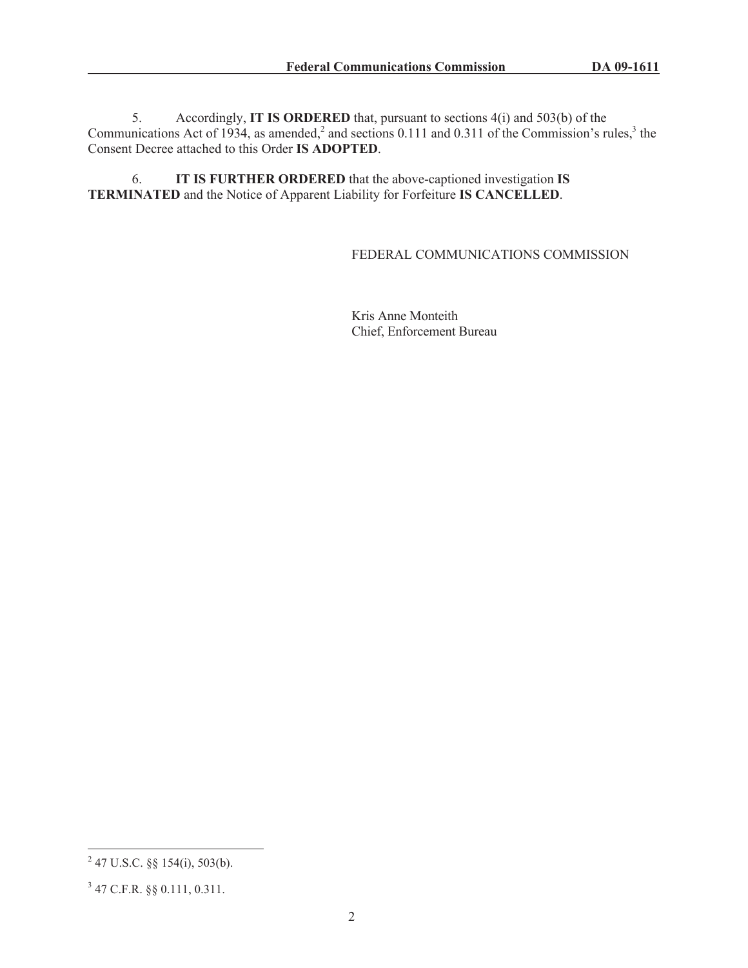5. Accordingly, **IT IS ORDERED** that, pursuant to sections 4(i) and 503(b) of the Communications Act of 1934, as amended,<sup>2</sup> and sections 0.111 and 0.311 of the Commission's rules,<sup>3</sup> the Consent Decree attached to this Order **IS ADOPTED**.

6. **IT IS FURTHER ORDERED** that the above-captioned investigation **IS TERMINATED** and the Notice of Apparent Liability for Forfeiture **IS CANCELLED**.

# FEDERAL COMMUNICATIONS COMMISSION

Kris Anne Monteith Chief, Enforcement Bureau

 $2^{2}$  47 U.S.C. §§ 154(i), 503(b).

<sup>3</sup> 47 C.F.R. §§ 0.111, 0.311.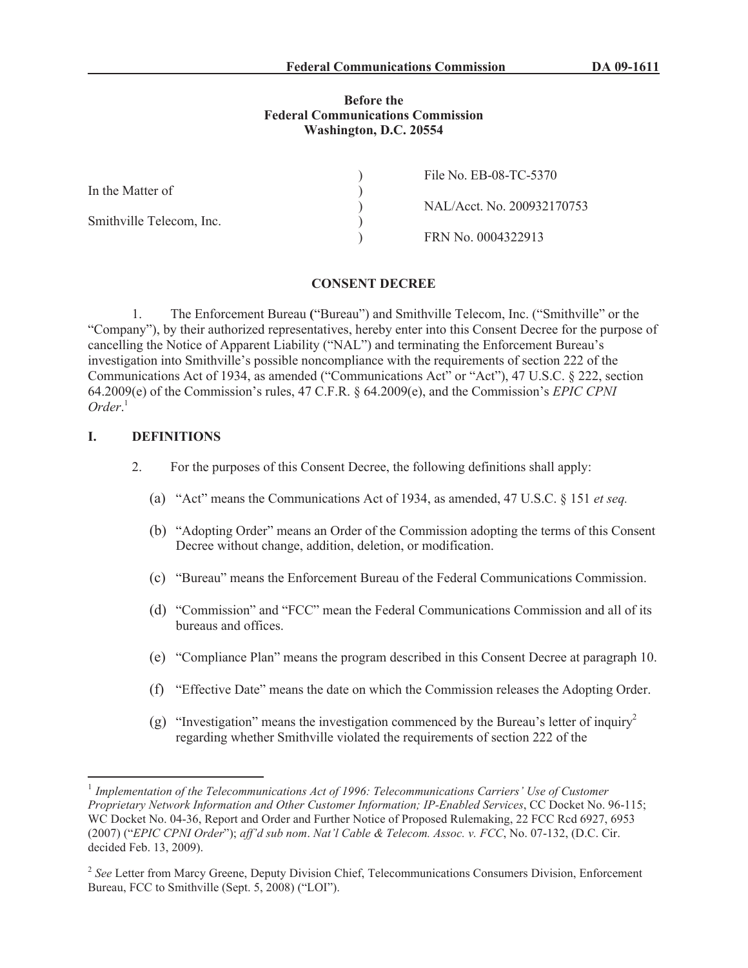### **Before the Federal Communications Commission Washington, D.C. 20554**

|                          | File No. EB-08-TC-5370     |
|--------------------------|----------------------------|
| In the Matter of         |                            |
|                          | NAL/Acct. No. 200932170753 |
| Smithville Telecom, Inc. |                            |
|                          | FRN No. 0004322913         |

#### **CONSENT DECREE**

1. The Enforcement Bureau **(**"Bureau") and Smithville Telecom, Inc. ("Smithville" or the "Company"), by their authorized representatives, hereby enter into this Consent Decree for the purpose of cancelling the Notice of Apparent Liability ("NAL") and terminating the Enforcement Bureau's investigation into Smithville's possible noncompliance with the requirements of section 222 of the Communications Act of 1934, as amended ("Communications Act" or "Act"), 47 U.S.C. § 222, section 64.2009(e) of the Commission's rules, 47 C.F.R. § 64.2009(e), and the Commission's *EPIC CPNI Order*. 1

# **I. DEFINITIONS**

- 2. For the purposes of this Consent Decree, the following definitions shall apply:
	- (a) "Act" means the Communications Act of 1934, as amended, 47 U.S.C. § 151 *et seq.*
	- (b) "Adopting Order" means an Order of the Commission adopting the terms of this Consent Decree without change, addition, deletion, or modification.
	- (c) "Bureau" means the Enforcement Bureau of the Federal Communications Commission.
	- (d) "Commission" and "FCC" mean the Federal Communications Commission and all of its bureaus and offices.
	- (e) "Compliance Plan" means the program described in this Consent Decree at paragraph 10.
	- (f) "Effective Date" means the date on which the Commission releases the Adopting Order.
	- (g) "Investigation" means the investigation commenced by the Bureau's letter of inquiry<sup>2</sup> regarding whether Smithville violated the requirements of section 222 of the

<sup>&</sup>lt;sup>1</sup> Implementation of the Telecommunications Act of 1996: Telecommunications Carriers' Use of Customer *Proprietary Network Information and Other Customer Information; IP-Enabled Services*, CC Docket No. 96-115; WC Docket No. 04-36, Report and Order and Further Notice of Proposed Rulemaking, 22 FCC Rcd 6927, 6953 (2007) ("*EPIC CPNI Order*"); *aff'd sub nom*. *Nat'l Cable & Telecom. Assoc. v. FCC*, No. 07-132, (D.C. Cir. decided Feb. 13, 2009).

<sup>&</sup>lt;sup>2</sup> See Letter from Marcy Greene, Deputy Division Chief, Telecommunications Consumers Division, Enforcement Bureau, FCC to Smithville (Sept. 5, 2008) ("LOI").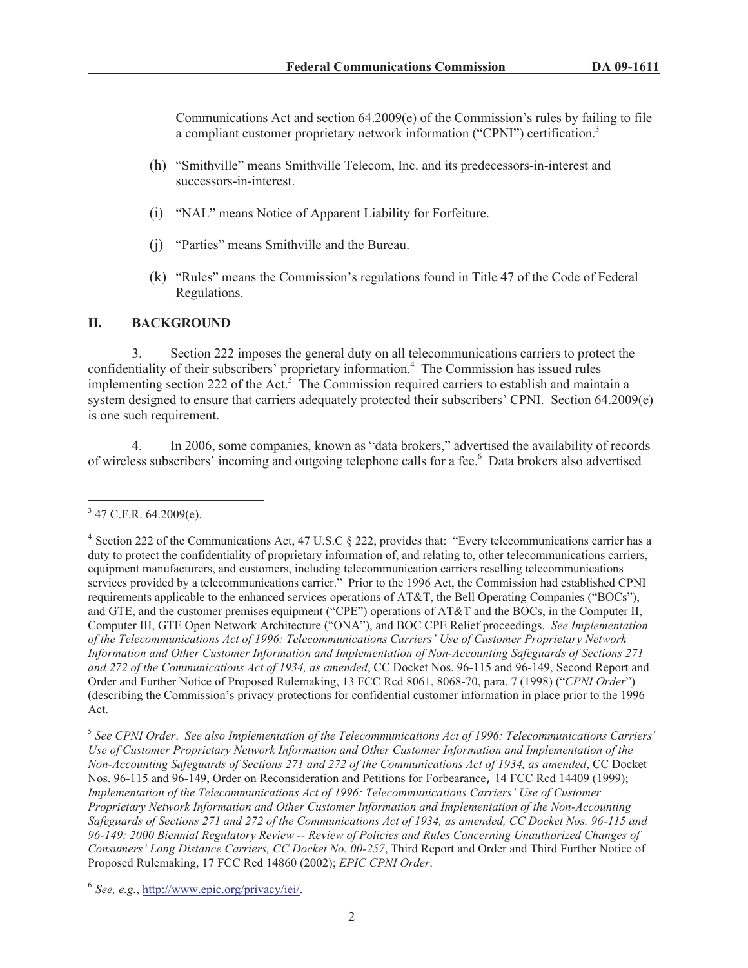Communications Act and section  $64.2009(e)$  of the Commission's rules by failing to file a compliant customer proprietary network information ("CPNI") certification.<sup>3</sup>

- (h) "Smithville" means Smithville Telecom, Inc. and its predecessors-in-interest and successors-in-interest.
- (i) "NAL" means Notice of Apparent Liability for Forfeiture.
- (j) "Parties" means Smithville and the Bureau.
- (k) "Rules" means the Commission's regulations found in Title 47 of the Code of Federal Regulations.

# **II. BACKGROUND**

3. Section 222 imposes the general duty on all telecommunications carriers to protect the confidentiality of their subscribers' proprietary information.<sup>4</sup> The Commission has issued rules implementing section 222 of the Act.<sup>5</sup> The Commission required carriers to establish and maintain a system designed to ensure that carriers adequately protected their subscribers' CPNI. Section 64.2009(e) is one such requirement.

4. In 2006, some companies, known as "data brokers," advertised the availability of records of wireless subscribers' incoming and outgoing telephone calls for a fee.<sup>6</sup> Data brokers also advertised

 $3$  47 C.F.R. 64.2009(e).

<sup>&</sup>lt;sup>4</sup> Section 222 of the Communications Act, 47 U.S.C § 222, provides that: "Every telecommunications carrier has a duty to protect the confidentiality of proprietary information of, and relating to, other telecommunications carriers, equipment manufacturers, and customers, including telecommunication carriers reselling telecommunications services provided by a telecommunications carrier." Prior to the 1996 Act, the Commission had established CPNI requirements applicable to the enhanced services operations of AT&T, the Bell Operating Companies ("BOCs"), and GTE, and the customer premises equipment ("CPE") operations of AT&T and the BOCs, in the Computer II, Computer III, GTE Open Network Architecture ("ONA"), and BOC CPE Relief proceedings. *See Implementation of the Telecommunications Act of 1996: Telecommunications Carriers' Use of Customer Proprietary Network Information and Other Customer Information and Implementation of Non-Accounting Safeguards of Sections 271 and 272 of the Communications Act of 1934, as amended*, CC Docket Nos. 96-115 and 96-149, Second Report and Order and Further Notice of Proposed Rulemaking, 13 FCC Rcd 8061, 8068-70, para. 7 (1998) ("*CPNI Order*") (describing the Commission's privacy protections for confidential customer information in place prior to the 1996 Act.

<sup>5</sup> *See CPNI Order*. *See also Implementation of the Telecommunications Act of 1996: Telecommunications Carriers' Use of Customer Proprietary Network Information and Other Customer Information and Implementation of the Non-Accounting Safeguards of Sections 271 and 272 of the Communications Act of 1934, as amended*, CC Docket Nos. 96-115 and 96-149, Order on Reconsideration and Petitions for Forbearance, 14 FCC Rcd 14409 (1999); *Implementation of the Telecommunications Act of 1996: Telecommunications Carriers' Use of Customer Proprietary Network Information and Other Customer Information and Implementation of the Non-Accounting Safeguards of Sections 271 and 272 of the Communications Act of 1934, as amended, CC Docket Nos. 96-115 and 96-149; 2000 Biennial Regulatory Review -- Review of Policies and Rules Concerning Unauthorized Changes of Consumers' Long Distance Carriers, CC Docket No. 00-257*, Third Report and Order and Third Further Notice of Proposed Rulemaking, 17 FCC Rcd 14860 (2002); *EPIC CPNI Order*.

<sup>6</sup> *See, e.g.*, http://www.epic.org/privacy/iei/.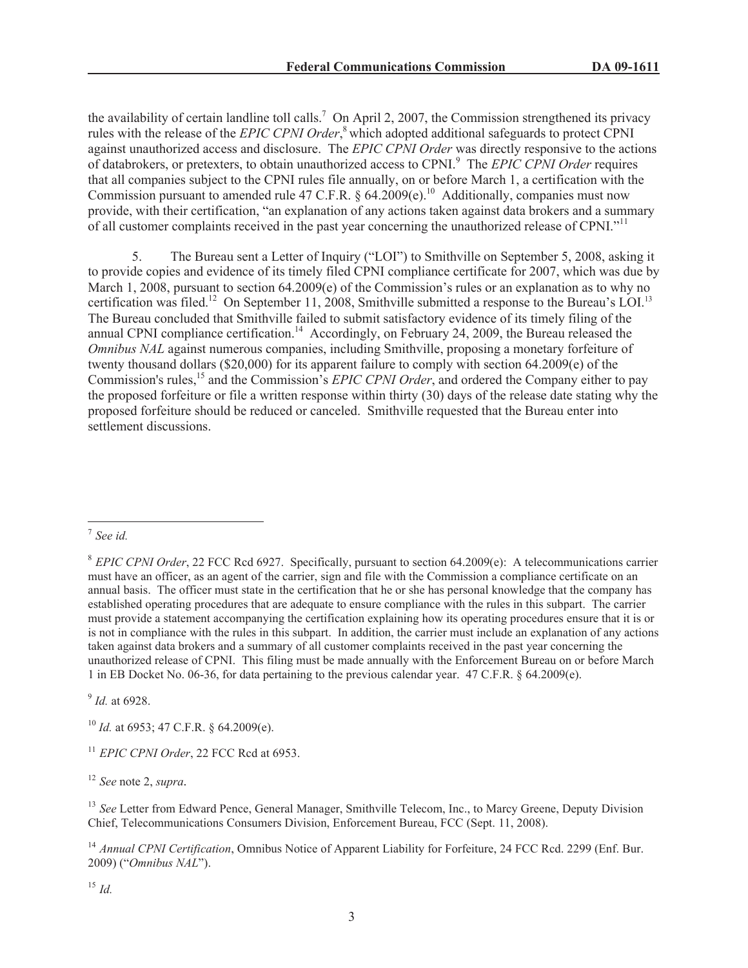the availability of certain landline toll calls.<sup>7</sup> On April 2, 2007, the Commission strengthened its privacy rules with the release of the *EPIC CPNI Order*, <sup>8</sup> which adopted additional safeguards to protect CPNI against unauthorized access and disclosure. The *EPIC CPNI Order* was directly responsive to the actions of databrokers, or pretexters, to obtain unauthorized access to CPNI.<sup>9</sup> The *EPIC CPNI Order* requires that all companies subject to the CPNI rules file annually, on or before March 1, a certification with the Commission pursuant to amended rule 47 C.F.R. § 64.2009(e).<sup>10</sup> Additionally, companies must now provide, with their certification, "an explanation of any actions taken against data brokers and a summary of all customer complaints received in the past year concerning the unauthorized release of CPNI."<sup>11</sup>

5. The Bureau sent a Letter of Inquiry ("LOI") to Smithville on September 5, 2008, asking it to provide copies and evidence of its timely filed CPNI compliance certificate for 2007, which was due by March 1, 2008, pursuant to section 64.2009(e) of the Commission's rules or an explanation as to why no certification was filed.<sup>12</sup> On September 11, 2008, Smithville submitted a response to the Bureau's LOI.<sup>13</sup> The Bureau concluded that Smithville failed to submit satisfactory evidence of its timely filing of the annual CPNI compliance certification.<sup>14</sup> Accordingly, on February 24, 2009, the Bureau released the *Omnibus NAL* against numerous companies, including Smithville, proposing a monetary forfeiture of twenty thousand dollars (\$20,000) for its apparent failure to comply with section 64.2009(e) of the Commission's rules,<sup>15</sup> and the Commission's *EPIC CPNI Order*, and ordered the Company either to pay the proposed forfeiture or file a written response within thirty (30) days of the release date stating why the proposed forfeiture should be reduced or canceled. Smithville requested that the Bureau enter into settlement discussions.

9 *Id.* at 6928.

<sup>10</sup> *Id.* at 6953; 47 C.F.R. § 64.2009(e).

<sup>11</sup> *EPIC CPNI Order*, 22 FCC Rcd at 6953.

<sup>12</sup> *See* note 2, *supra.*

<sup>13</sup> See Letter from Edward Pence, General Manager, Smithville Telecom, Inc., to Marcy Greene, Deputy Division Chief, Telecommunications Consumers Division, Enforcement Bureau, FCC (Sept. 11, 2008).

<sup>14</sup> *Annual CPNI Certification*, Omnibus Notice of Apparent Liability for Forfeiture, 24 FCC Rcd. 2299 (Enf. Bur. 2009) ("*Omnibus NAL*").

<sup>15</sup> *Id.*

<sup>7</sup> *See id.*

<sup>8</sup> *EPIC CPNI Order*, 22 FCC Rcd 6927. Specifically, pursuant to section 64.2009(e): A telecommunications carrier must have an officer, as an agent of the carrier, sign and file with the Commission a compliance certificate on an annual basis. The officer must state in the certification that he or she has personal knowledge that the company has established operating procedures that are adequate to ensure compliance with the rules in this subpart. The carrier must provide a statement accompanying the certification explaining how its operating procedures ensure that it is or is not in compliance with the rules in this subpart. In addition, the carrier must include an explanation of any actions taken against data brokers and a summary of all customer complaints received in the past year concerning the unauthorized release of CPNI. This filing must be made annually with the Enforcement Bureau on or before March 1 in EB Docket No. 06-36, for data pertaining to the previous calendar year. 47 C.F.R. § 64.2009(e).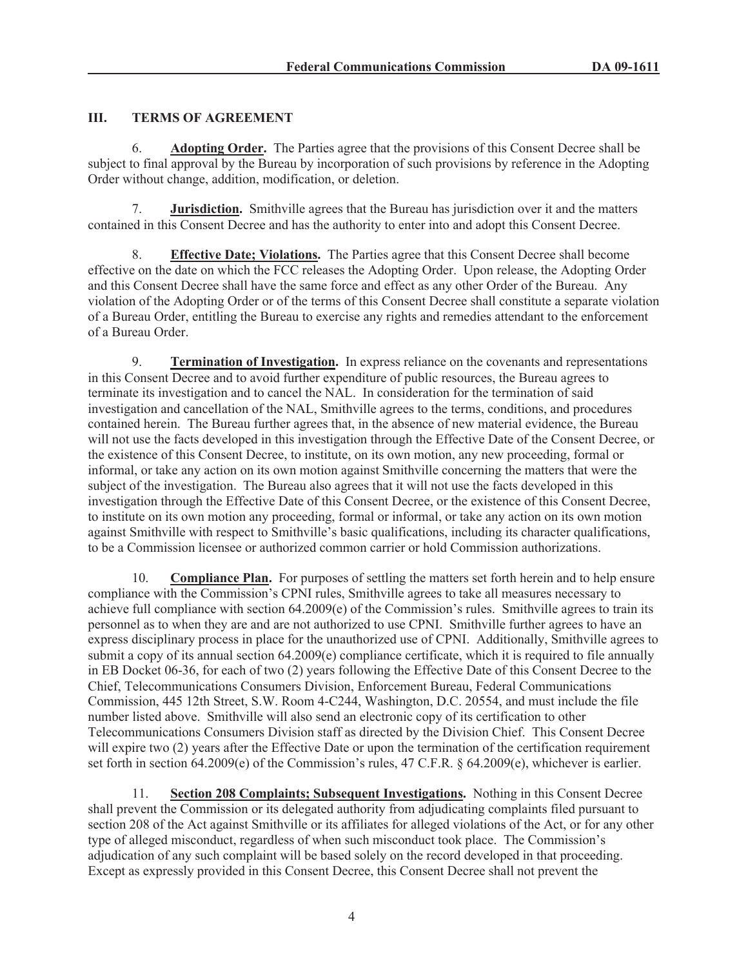# **III. TERMS OF AGREEMENT**

6. **Adopting Order.** The Parties agree that the provisions of this Consent Decree shall be subject to final approval by the Bureau by incorporation of such provisions by reference in the Adopting Order without change, addition, modification, or deletion.

7. **Jurisdiction.** Smithville agrees that the Bureau has jurisdiction over it and the matters contained in this Consent Decree and has the authority to enter into and adopt this Consent Decree.

8. **Effective Date; Violations.** The Parties agree that this Consent Decree shall become effective on the date on which the FCC releases the Adopting Order. Upon release, the Adopting Order and this Consent Decree shall have the same force and effect as any other Order of the Bureau. Any violation of the Adopting Order or of the terms of this Consent Decree shall constitute a separate violation of a Bureau Order, entitling the Bureau to exercise any rights and remedies attendant to the enforcement of a Bureau Order.

9. **Termination of Investigation.** In express reliance on the covenants and representations in this Consent Decree and to avoid further expenditure of public resources, the Bureau agrees to terminate its investigation and to cancel the NAL. In consideration for the termination of said investigation and cancellation of the NAL, Smithville agrees to the terms, conditions, and procedures contained herein. The Bureau further agrees that, in the absence of new material evidence, the Bureau will not use the facts developed in this investigation through the Effective Date of the Consent Decree, or the existence of this Consent Decree, to institute, on its own motion, any new proceeding, formal or informal, or take any action on its own motion against Smithville concerning the matters that were the subject of the investigation. The Bureau also agrees that it will not use the facts developed in this investigation through the Effective Date of this Consent Decree, or the existence of this Consent Decree, to institute on its own motion any proceeding, formal or informal, or take any action on its own motion against Smithville with respect to Smithville's basic qualifications, including its character qualifications, to be a Commission licensee or authorized common carrier or hold Commission authorizations.

10. **Compliance Plan.** For purposes of settling the matters set forth herein and to help ensure compliance with the Commission's CPNI rules, Smithville agrees to take all measures necessary to achieve full compliance with section 64.2009(e) of the Commission's rules. Smithville agrees to train its personnel as to when they are and are not authorized to use CPNI. Smithville further agrees to have an express disciplinary process in place for the unauthorized use of CPNI. Additionally, Smithville agrees to submit a copy of its annual section 64.2009(e) compliance certificate, which it is required to file annually in EB Docket 06-36, for each of two (2) years following the Effective Date of this Consent Decree to the Chief, Telecommunications Consumers Division, Enforcement Bureau, Federal Communications Commission, 445 12th Street, S.W. Room 4-C244, Washington, D.C. 20554, and must include the file number listed above. Smithville will also send an electronic copy of its certification to other Telecommunications Consumers Division staff as directed by the Division Chief. This Consent Decree will expire two (2) years after the Effective Date or upon the termination of the certification requirement set forth in section 64.2009(e) of the Commission's rules, 47 C.F.R. § 64.2009(e), whichever is earlier.

11. **Section 208 Complaints; Subsequent Investigations.** Nothing in this Consent Decree shall prevent the Commission or its delegated authority from adjudicating complaints filed pursuant to section 208 of the Act against Smithville or its affiliates for alleged violations of the Act, or for any other type of alleged misconduct, regardless of when such misconduct took place. The Commission's adjudication of any such complaint will be based solely on the record developed in that proceeding. Except as expressly provided in this Consent Decree, this Consent Decree shall not prevent the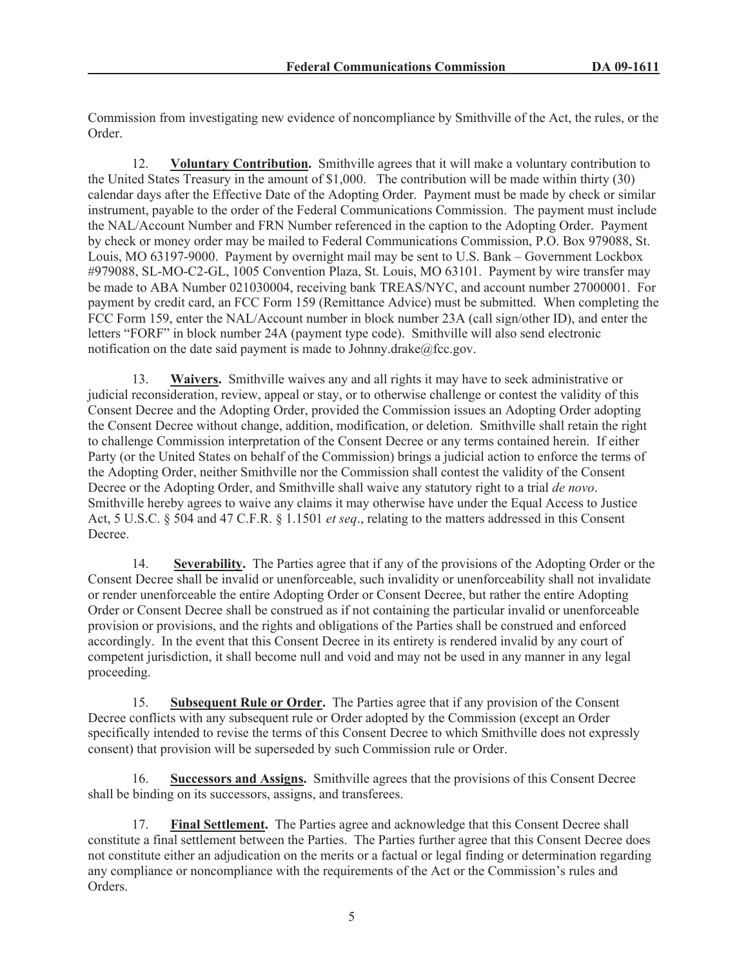Commission from investigating new evidence of noncompliance by Smithville of the Act, the rules, or the Order.

12. **Voluntary Contribution.** Smithville agrees that it will make a voluntary contribution to the United States Treasury in the amount of \$1,000. The contribution will be made within thirty (30) calendar days after the Effective Date of the Adopting Order. Payment must be made by check or similar instrument, payable to the order of the Federal Communications Commission. The payment must include the NAL/Account Number and FRN Number referenced in the caption to the Adopting Order. Payment by check or money order may be mailed to Federal Communications Commission, P.O. Box 979088, St. Louis, MO 63197-9000. Payment by overnight mail may be sent to U.S. Bank – Government Lockbox #979088, SL-MO-C2-GL, 1005 Convention Plaza, St. Louis, MO 63101. Payment by wire transfer may be made to ABA Number 021030004, receiving bank TREAS/NYC, and account number 27000001. For payment by credit card, an FCC Form 159 (Remittance Advice) must be submitted. When completing the FCC Form 159, enter the NAL/Account number in block number 23A (call sign/other ID), and enter the letters "FORF" in block number 24A (payment type code). Smithville will also send electronic notification on the date said payment is made to Johnny.drake $@$ fcc.gov.

13. **Waivers.** Smithville waives any and all rights it may have to seek administrative or judicial reconsideration, review, appeal or stay, or to otherwise challenge or contest the validity of this Consent Decree and the Adopting Order, provided the Commission issues an Adopting Order adopting the Consent Decree without change, addition, modification, or deletion. Smithville shall retain the right to challenge Commission interpretation of the Consent Decree or any terms contained herein. If either Party (or the United States on behalf of the Commission) brings a judicial action to enforce the terms of the Adopting Order, neither Smithville nor the Commission shall contest the validity of the Consent Decree or the Adopting Order, and Smithville shall waive any statutory right to a trial *de novo*. Smithville hereby agrees to waive any claims it may otherwise have under the Equal Access to Justice Act, 5 U.S.C. § 504 and 47 C.F.R. § 1.1501 *et seq*., relating to the matters addressed in this Consent **Decree** 

14. **Severability.** The Parties agree that if any of the provisions of the Adopting Order or the Consent Decree shall be invalid or unenforceable, such invalidity or unenforceability shall not invalidate or render unenforceable the entire Adopting Order or Consent Decree, but rather the entire Adopting Order or Consent Decree shall be construed as if not containing the particular invalid or unenforceable provision or provisions, and the rights and obligations of the Parties shall be construed and enforced accordingly. In the event that this Consent Decree in its entirety is rendered invalid by any court of competent jurisdiction, it shall become null and void and may not be used in any manner in any legal proceeding.

15. **Subsequent Rule or Order.** The Parties agree that if any provision of the Consent Decree conflicts with any subsequent rule or Order adopted by the Commission (except an Order specifically intended to revise the terms of this Consent Decree to which Smithville does not expressly consent) that provision will be superseded by such Commission rule or Order.

16. **Successors and Assigns.** Smithville agrees that the provisions of this Consent Decree shall be binding on its successors, assigns, and transferees.

17. **Final Settlement.** The Parties agree and acknowledge that this Consent Decree shall constitute a final settlement between the Parties. The Parties further agree that this Consent Decree does not constitute either an adjudication on the merits or a factual or legal finding or determination regarding any compliance or noncompliance with the requirements of the Act or the Commission's rules and Orders.